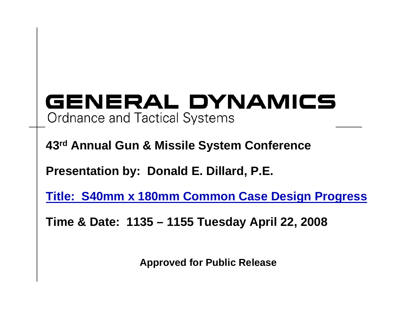#### GENERAL DYNAMICS **Ordnance and Tactical Systems**

**43rd Annual Gun & Missile System Conference**

**Presentation by: Donald E. Dillard, P.E.**

**Title: S40mm x 180mm Common Case Design Progress**

**Time & Date: 1135 – 1155 Tuesday April 22, 2008**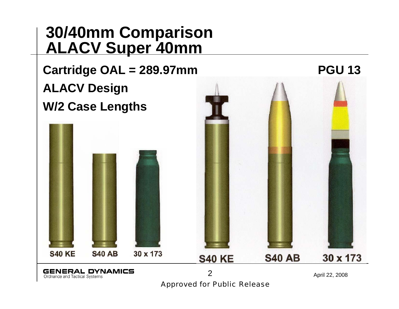#### **30/40mm Comparison ALACV Super 40mm**

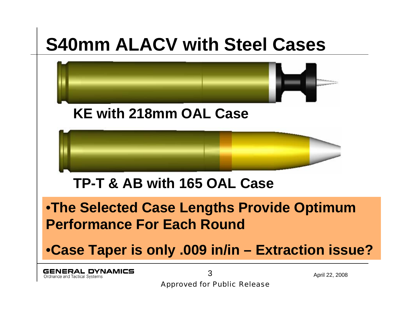### **S40mm ALACV with Steel Cases**

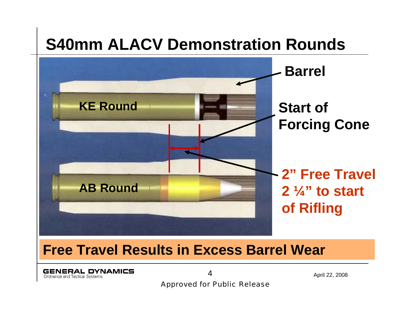#### **S40mm ALACV Demonstration Rounds**



#### **Free Travel Results in Excess Barrel Wear**

**GENERAL DYNAMICS** Ordnance and Tactical Systems

April 22, 2008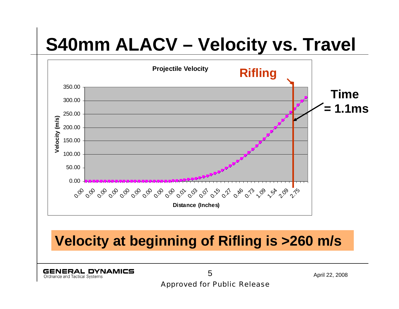#### **S40mm ALACV – Velocity vs. Travel**



**GENERAL DYNAMICS** Ordnance and Tactical Systems

April 22, 2008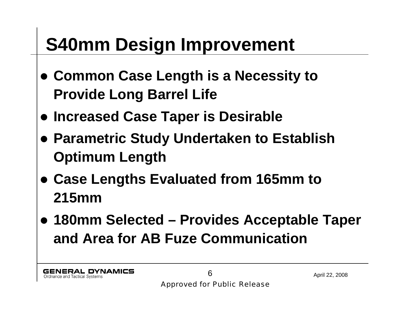### **S40mm Design Improvement**

- z **Common Case Length is a Necessity to Provide Long Barrel Life**
- **Increased Case Taper is Desirable**
- **Parametric Study Undertaken to Establish Optimum Length**
- z **Case Lengths Evaluated from 165mm to 215mm**
- z **180mm Selected – Provides Acceptable Taper and Area for AB Fuze Communication**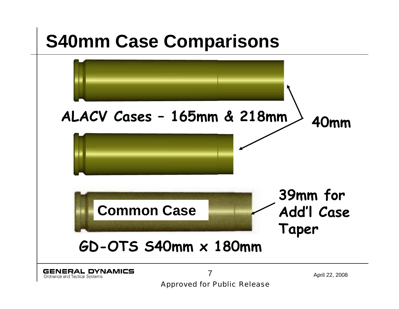#### **S40mm Case Comparisons**

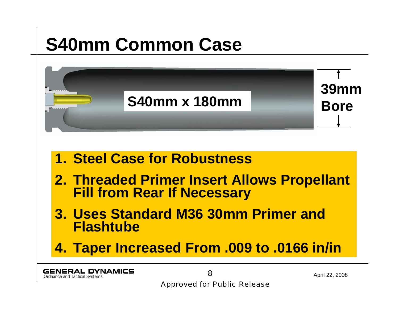### **S40mm Common Case**

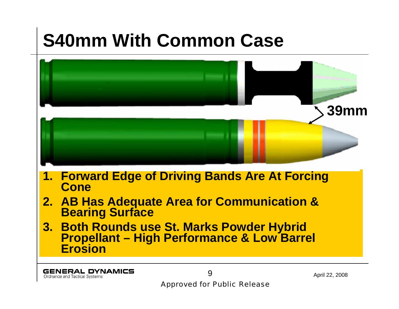## **S40mm With Common Case**



Ordnance and Tactical Systems

April 22, 2008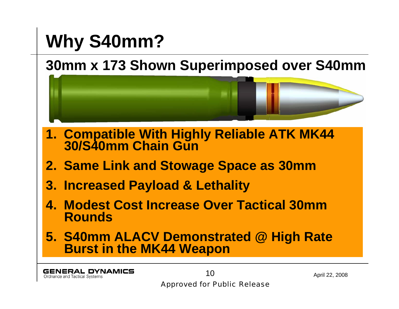### **Why S40mm?**

#### **30mm x 173 Shown Superimposed over S40mm**



- **4. Modest Cost Increase Over Tactical 30mm Rounds**
- **5. S40mm ALACV Demonstrated @ High Rate Burst in the MK44 Weapon**

**GENERAL DYNAMICS** Ordnance and Tactical Systems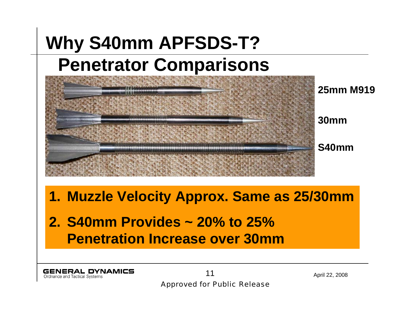### **Why S40mm APFSDS-T? Penetrator Comparisons**



#### **1. Muzzle Velocity Approx. Same as 25/30mm**

**2. S40mm Provides ~ 20% to 25% Penetration Increase over 30mm**

**GENERAL DYNAMICS** Ordnance and Tactical Systems

April 22, 2008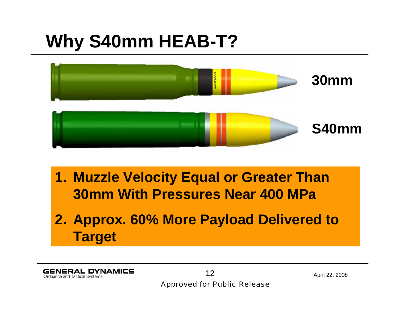## **Why S40mm HEAB-T?**

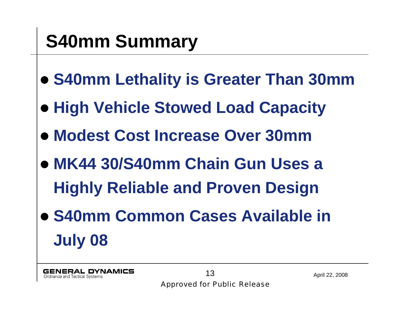## **S40mm Summary**

- z **S40mm Lethality is Greater Than 30mm**
- **High Vehicle Stowed Load Capacity**
- z **Modest Cost Increase Over 30mm**
- z **MK44 30/S40mm Chain Gun Uses a Highly Reliable and Proven Design**
- **S40mm Common Cases Available in July 08**